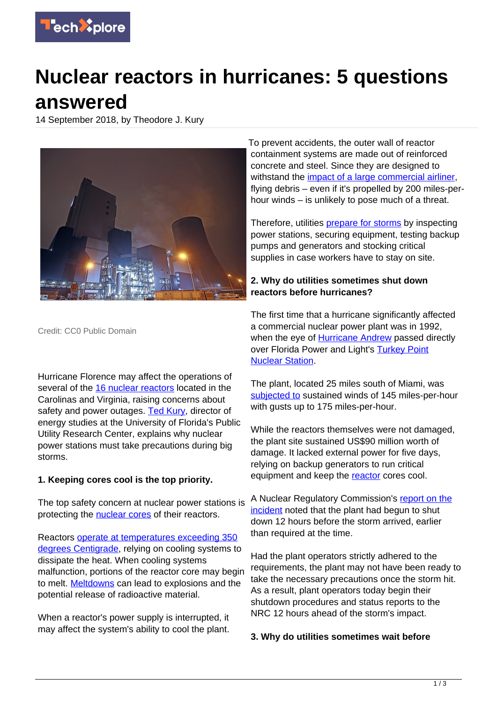

# **Nuclear reactors in hurricanes: 5 questions answered**

14 September 2018, by Theodore J. Kury



Credit: CC0 Public Domain

Hurricane Florence may affect the operations of several of the [16 nuclear reactors](https://www.reuters.com/article/us-storm-florence-nuclear/us-nuclear-power-plants-prepare-for-hurricane-florence-idUSKCN1LR2C8) located in the Carolinas and Virginia, raising concerns about safety and power outages. [Ted Kury](https://scholar.google.com/citations?hl=en&user=yxN_35oAAAAJ), director of energy studies at the University of Florida's Public Utility Research Center, explains why nuclear power stations must take precautions during big storms.

### **1. Keeping cores cool is the top priority.**

The top safety concern at nuclear power stations is protecting the [nuclear cores](https://nrl.mit.edu/reactor/core-description) of their reactors.

Reactors [operate at temperatures exceeding 350](http://www.world-nuclear.org/information-library/nuclear-fuel-cycle/nuclear-power-reactors/nuclear-power-reactors.aspx) [degrees Centigrade,](http://www.world-nuclear.org/information-library/nuclear-fuel-cycle/nuclear-power-reactors/nuclear-power-reactors.aspx) relying on cooling systems to dissipate the heat. When cooling systems malfunction, portions of the reactor core may begin to melt. **Meltdowns** can lead to explosions and the potential release of radioactive material.

When a reactor's power supply is interrupted, it may affect the system's ability to cool the plant.

To prevent accidents, the outer wall of reactor containment systems are made out of reinforced concrete and steel. Since they are designed to withstand the [impact of a large commercial airliner,](https://www.nrc.gov/reading-rm/doc-collections/cfr/part050/part050-0150.html) flying debris – even if it's propelled by 200 miles-perhour winds – is unlikely to pose much of a threat.

Therefore, utilities **prepare for storms** by inspecting power stations, securing equipment, testing backup pumps and generators and stocking critical supplies in case workers have to stay on site.

## **2. Why do utilities sometimes shut down reactors before hurricanes?**

The first time that a hurricane significantly affected a commercial nuclear power plant was in 1992, when the eye of [Hurricane Andrew](https://www.nhc.noaa.gov/1992andrew.html) passed directly over Florida Power and Light's [Turkey Point](https://www.fpl.com/clean-energy/nuclear/turkey-point-plant.html) [Nuclear Station.](https://www.fpl.com/clean-energy/nuclear/turkey-point-plant.html)

The plant, located 25 miles south of Miami, was [subjected to](https://www.nrc.gov/reading-rm/doc-collections/gen-comm/info-notices/1993/in93053.html) sustained winds of 145 miles-per-hour with gusts up to 175 miles-per-hour.

While the reactors themselves were not damaged, the plant site sustained US\$90 million worth of damage. It lacked external power for five days, relying on backup generators to run critical equipment and keep the [reactor](https://techxplore.com/tags/reactor/) cores cool.

A Nuclear Regulatory Commission's [report on the](https://www.nrc.gov/reading-rm/doc-collections/gen-comm/info-notices/1993/in93053.html) [incident](https://www.nrc.gov/reading-rm/doc-collections/gen-comm/info-notices/1993/in93053.html) noted that the plant had begun to shut down 12 hours before the storm arrived, earlier than required at the time.

Had the plant operators strictly adhered to the requirements, the plant may not have been ready to take the necessary precautions once the storm hit. As a result, plant operators today begin their shutdown procedures and status reports to the NRC 12 hours ahead of the storm's impact.

### **3. Why do utilities sometimes wait before**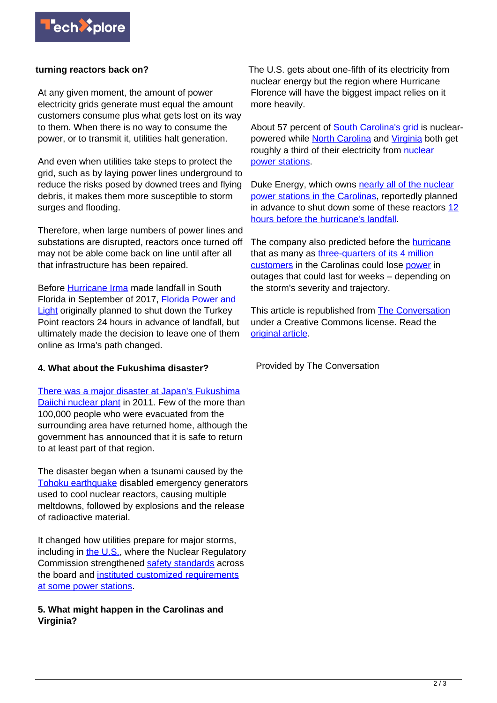

#### **turning reactors back on?**

At any given moment, the amount of power electricity grids generate must equal the amount customers consume plus what gets lost on its way to them. When there is no way to consume the power, or to transmit it, utilities halt generation.

And even when utilities take steps to protect the grid, such as by laying power lines underground to reduce the risks posed by downed trees and flying debris, it makes them more susceptible to storm surges and flooding.

Therefore, when large numbers of power lines and substations are disrupted, reactors once turned off may not be able come back on line until after all that infrastructure has been repaired.

Before [Hurricane Irma](https://www.eia.gov/todayinenergy/detail.php?id=32992) made landfall in South Florida in September of 2017, [Florida Power and](https://www.reuters.com/article/us-storm-irma-fpl-nuclear/fpl-shut-one-reactor-at-florida-turkey-point-ahead-of-irma-idUSKCN1BL0MD) [Light](https://www.reuters.com/article/us-storm-irma-fpl-nuclear/fpl-shut-one-reactor-at-florida-turkey-point-ahead-of-irma-idUSKCN1BL0MD) originally planned to shut down the Turkey Point reactors 24 hours in advance of landfall, but ultimately made the decision to leave one of them online as Irma's path changed.

### **4. What about the Fukushima disaster?**

[There was a major disaster at Japan's Fukushima](https://www.iaea.org/newscenter/news/iaea-releases-director-generals-report-on-fukushima-daiichi-accident) [Daiichi nuclear plant](https://www.iaea.org/newscenter/news/iaea-releases-director-generals-report-on-fukushima-daiichi-accident) in 2011. Few of the more than 100,000 people who were evacuated from the surrounding area have returned home, although the government has announced that it is safe to return to at least part of that region.

The disaster began when a tsunami caused by the [Tohoku earthquake](https://www.geolsoc.org.uk/Education-and-Careers/Plate-Tectonic-Stories/Outer-Isles-Pseudotachylytes/Tohoku-Earthquake) disabled emergency generators used to cool nuclear reactors, causing multiple meltdowns, followed by explosions and the release of radioactive material.

It changed how utilities prepare for major storms, including in [the U.S.](https://www.nrc.gov/reactors/operating/ops-experience/japan-dashboard.html), where the Nuclear Regulatory Commission strengthened [safety standards](https://www.nrc.gov/reactors/operating/ops-experience/japan-dashboard/priorities.html) across the board and [instituted customized requirements](https://www.nrc.gov/reactors/operating/ops-experience/japan-dashboard/japan-plants.html) [at some power stations](https://www.nrc.gov/reactors/operating/ops-experience/japan-dashboard/japan-plants.html).

## **5. What might happen in the Carolinas and Virginia?**

The U.S. gets about one-fifth of its electricity from nuclear energy but the region where Hurricane Florence will have the biggest impact relies on it more heavily.

About 57 percent of [South Carolina's grid](https://www.eia.gov/state/index.php?sid=SC) is nuclearpowered while [North Carolina](https://www.eia.gov/state/?sid=NC) and [Virginia](https://www.eia.gov/state/index.php?sid=VA) both get roughly a third of their electricity from [nuclear](https://techxplore.com/tags/nuclear+power+stations/) [power stations](https://techxplore.com/tags/nuclear+power+stations/).

Duke Energy, which owns [nearly all of the nuclear](https://www.reuters.com/article/storm-florence-nuclear/us-nuclear-power-plants-prepare-for-hurricane-florence-idUSL2N1VX1FW) [power stations in the Carolinas,](https://www.reuters.com/article/storm-florence-nuclear/us-nuclear-power-plants-prepare-for-hurricane-florence-idUSL2N1VX1FW) reportedly planned in advance to shut down some of these reactors [12](https://www.businessinsider.com/hurricane-florence-north-carolina-nuclear-power-plants-preparations-2018-9) [hours before the hurricane's landfall.](https://www.businessinsider.com/hurricane-florence-north-carolina-nuclear-power-plants-preparations-2018-9)

The company also predicted before the **hurricane** that as many as [three-quarters of its 4 million](https://apnews.com/7e9cac25a28d4781a184c913f6ec5c9a/The-Latest:-Duke-Energy-says-millions-could-lose-power) [customers](https://apnews.com/7e9cac25a28d4781a184c913f6ec5c9a/The-Latest:-Duke-Energy-says-millions-could-lose-power) in the Carolinas could lose [power](https://techxplore.com/tags/power/) in outages that could last for weeks – depending on the storm's severity and trajectory.

This article is republished from [The Conversation](http://theconversation.com) under a Creative Commons license. Read the [original article](https://theconversation.com/nuclear-reactors-in-hurricanes-5-questions-answered-103146).

Provided by The Conversation